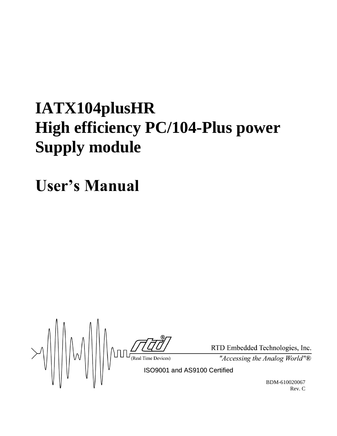# **IATX104plusHR High efficiency PC/104-Plus power Supply module**

**User's Manual**

RTD Em RTD Em RTD Em RTD Em Terre (Real Time Devices) The Case of  $\frac{R}{2}$  $\|W\|$ 

RTD Embedded Technologies, Inc.

"Accessing the Analog World"®

BDM-610020067 Rev. C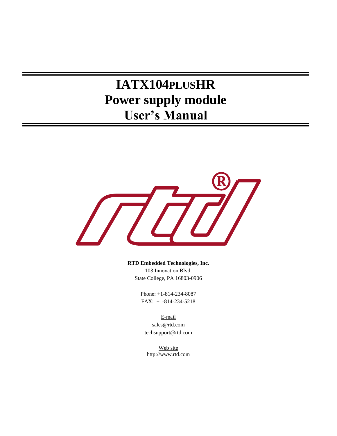## **IATX104PLUSHR Power supply module User's Manual**



**RTD Embedded Technologies, Inc.** 103 Innovation Blvd.

State College, PA 16803-0906

Phone: +1-814-234-8087 FAX: +1-814-234-5218

E-mail sales@rtd.com techsupport@rtd.com

Web site http://www.rtd.com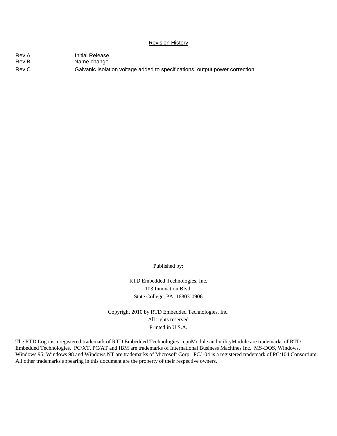#### Revision History

| Rev A | Initial Release                                                             |
|-------|-----------------------------------------------------------------------------|
| Rev B | Name change                                                                 |
| Rev C | Galvanic Isolation voltage added to specifications, output power correction |

Published by:

RTD Embedded Technologies, Inc. 103 Innovation Blvd. State College, PA 16803-0906

Copyright 2010 by RTD Embedded Technologies, Inc. All rights reserved Printed in U.S.A.

The RTD Logo is a registered trademark of RTD Embedded Technologies. cpuModule and utilityModule are trademarks of RTD Embedded Technologies. PC/XT, PC/AT and IBM are trademarks of International Business Machines Inc. MS-DOS, Windows, Windows 95, Windows 98 and Windows NT are trademarks of Microsoft Corp. PC/104 is a registered trademark of PC/104 Consortium. All other trademarks appearing in this document are the property of their respective owners.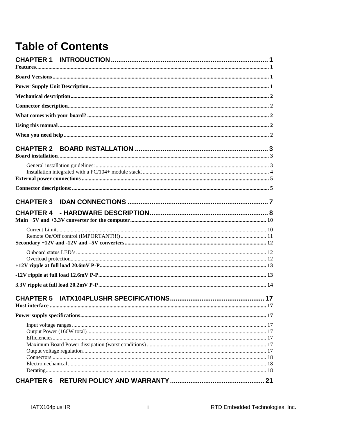## **Table of Contents**

| 21 |
|----|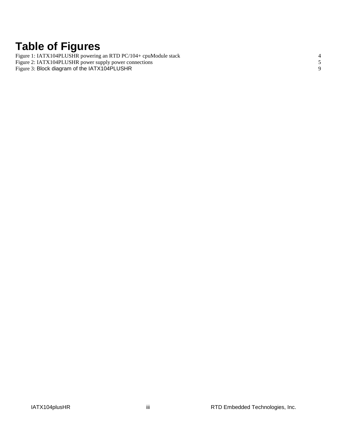## **Table of Figures**

Figure 1: IATX104PLUSHR [powering an RTD PC/104+ cpuModule stack](#page-9-1) 4 Figure 2: IATX104PLUSHR [power supply power connections](#page-10-2) 5 Figure 3: [Block diagram of the IATX104PLUSHR](#page-14-0) 9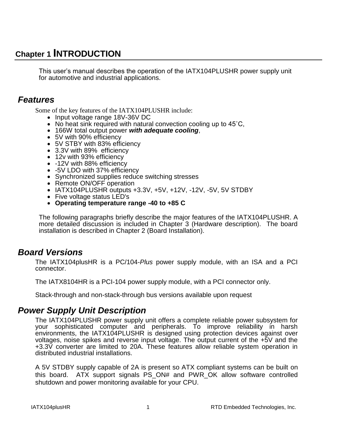## <span id="page-6-0"></span>**Chapter 1 INTRODUCTION**

This user's manual describes the operation of the IATX104PLUSHR power supply unit for automotive and industrial applications.

## <span id="page-6-1"></span>*Features*

Some of the key features of the IATX104PLUSHR include:

- Input voltage range 18V-36V DC
- No heat sink required with natural convection cooling up to  $45^{\circ}$ C,
- 166W total output power *with adequate cooling*,
- 5V with 90% efficiency
- 5V STBY with 83% efficiency
- 3.3V with 89% efficiency
- 12v with 93% efficiency
- -12V with 88% efficiency
- -5V LDO with 37% efficiency
- Synchronized supplies reduce switching stresses
- Remote ON/OFF operation
- IATX104PLUSHR outputs +3.3V, +5V, +12V, -12V, -5V, 5V STDBY
- Five voltage status LED's
- **Operating temperature range -40 to +85 C**

The following paragraphs briefly describe the major features of the IATX104PLUSHR. A more detailed discussion is included in Chapter 3 (Hardware description). The board installation is described in Chapter 2 (Board Installation).

## <span id="page-6-2"></span>*Board Versions*

The IATX104plusHR is a PC/104-*Plus* power supply module, with an ISA and a PCI connector.

The IATX8104HR is a PCI-104 power supply module, with a PCI connector only.

Stack-through and non-stack-through bus versions available upon request

### <span id="page-6-3"></span>*Power Supply Unit Description*

The IATX104PLUSHR power supply unit offers a complete reliable power subsystem for your sophisticated computer and peripherals. To improve reliability in harsh environments, the IATX104PLUSHR is designed using protection devices against over voltages, noise spikes and reverse input voltage. The output current of the +5V and the +3.3V converter are limited to 20A. These features allow reliable system operation in distributed industrial installations.

A 5V STDBY supply capable of 2A is present so ATX compliant systems can be built on this board. ATX support signals PS\_ON# and PWR\_OK allow software controlled shutdown and power monitoring available for your CPU.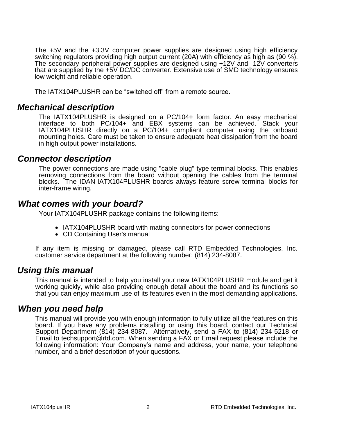The +5V and the +3.3V computer power supplies are designed using high efficiency switching regulators providing high output current (20A) with efficiency as high as (90 %). The secondary peripheral power supplies are designed using +12V and -12V converters that are supplied by the +5V DC/DC converter. Extensive use of SMD technology ensures low weight and reliable operation.

The IATX104PLUSHR can be "switched off" from a remote source.

### <span id="page-7-0"></span>*Mechanical description*

The IATX104PLUSHR is designed on a PC/104+ form factor. An easy mechanical interface to both PC/104+ and EBX systems can be achieved. Stack your IATX104PLUSHR directly on a PC/104+ compliant computer using the onboard mounting holes. Care must be taken to ensure adequate heat dissipation from the board in high output power installations.

### <span id="page-7-1"></span>*Connector description*

The power connections are made using "cable plug" type terminal blocks. This enables removing connections from the board without opening the cables from the terminal blocks. The IDAN-IATX104PLUSHR boards always feature screw terminal blocks for inter-frame wiring.

### <span id="page-7-2"></span>*What comes with your board?*

Your IATX104PLUSHR package contains the following items:

- IATX104PLUSHR board with mating connectors for power connections
- CD Containing User's manual

If any item is missing or damaged, please call RTD Embedded Technologies, Inc. customer service department at the following number: (814) 234-8087.

### <span id="page-7-3"></span>*Using this manual*

This manual is intended to help you install your new IATX104PLUSHR module and get it working quickly, while also providing enough detail about the board and its functions so that you can enjoy maximum use of its features even in the most demanding applications.

### <span id="page-7-4"></span>*When you need help*

This manual will provide you with enough information to fully utilize all the features on this board. If you have any problems installing or using this board, contact our Technical Support Department (814) 234-8087. Alternatively, send a FAX to (814) 234-5218 or Email to techsupport@rtd.com. When sending a FAX or Email request please include the following information: Your Company's name and address, your name, your telephone number, and a brief description of your questions.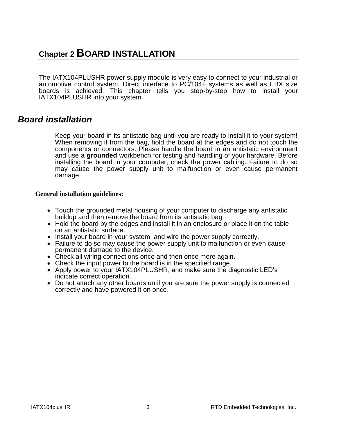## <span id="page-8-0"></span>**Chapter 2 BOARD INSTALLATION**

The IATX104PLUSHR power supply module is very easy to connect to your industrial or automotive control system. Direct interface to PC/104+ systems as well as EBX size boards is achieved. This chapter tells you step-by-step how to install your IATX104PLUSHR into your system.

### <span id="page-8-1"></span>*Board installation*

Keep your board in its antistatic bag until you are ready to install it to your system! When removing it from the bag, hold the board at the edges and do not touch the components or connectors. Please handle the board in an antistatic environment and use a **grounded** workbench for testing and handling of your hardware. Before installing the board in your computer, check the power cabling. Failure to do so may cause the power supply unit to malfunction or even cause permanent damage.

### <span id="page-8-2"></span>**General installation guidelines:**

- Touch the grounded metal housing of your computer to discharge any antistatic buildup and then remove the board from its antistatic bag.
- Hold the board by the edges and install it in an enclosure or place it on the table on an antistatic surface.
- Install your board in your system, and wire the power supply correctly.
- Failure to do so may cause the power supply unit to malfunction or even cause permanent damage to the device.
- Check all wiring connections once and then once more again.
- Check the input power to the board is in the specified range.
- Apply power to your IATX104PLUSHR, and make sure the diagnostic LED's indicate correct operation.
- Do not attach any other boards until you are sure the power supply is connected correctly and have powered it on once.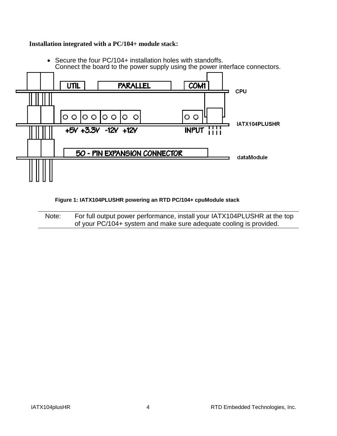### <span id="page-9-0"></span>**Installation integrated with a PC/104+ module stack:**



 Secure the four PC/104+ installation holes with standoffs. Connect the board to the power supply using the power interface connectors.

#### **Figure 1: IATX104PLUSHR powering an RTD PC/104+ cpuModule stack**

<span id="page-9-1"></span>Note: For full output power performance, install your IATX104PLUSHR at the top of your PC/104+ system and make sure adequate cooling is provided.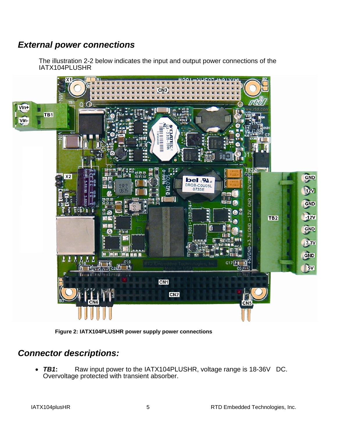## <span id="page-10-0"></span>*External power connections*

The illustration 2-2 below indicates the input and output power connections of the IATX104PLUSHR





## <span id="page-10-2"></span><span id="page-10-1"></span>*Connector descriptions:*

 *TB1***:** Raw input power to the IATX104PLUSHR, voltage range is 18-36V DC. Overvoltage protected with transient absorber.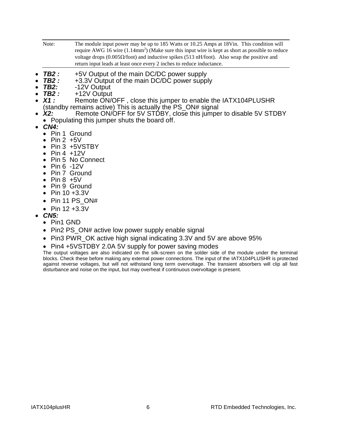Note: The module input power may be up to 185 Watts or 10.25 Amps at 18Vin. This condition will require AWG 16 wire  $(1.14 \text{mm}^2)$  (Make sure this input wire is kept as short as possible to reduce voltage drops (0.005 $\Omega$ /foot) and inductive spikes (513 nH/foot). Also wrap the positive and return input leads at least once every 2 inches to reduce inductance.

- **TB2 :** +5V Output of the main DC/DC power supply<br>**TB2 :** +3.3V Output of the main DC/DC power suppl
- **TB2** *:* +3.3V Output of the main DC/DC power supply<br>**TB2**: -12V Output
- *TB2:* -12V Output
- *TB2 :* +12V Output
- Remote ON/OFF, close this jumper to enable the IATX104PLUSHR (standby remains active) This is actually the PS\_ON# signal
- X2: Remote ON/OFF for 5V STDBY, close this jumper to disable 5V STDBY • Populating this jumper shuts the board off.
- *CN4:*
	- Pin 1 Ground
	- $\bullet$  Pin 2 +5V
	- Pin 3 +5VSTBY
	- $\bullet$  Pin 4 +12V
	- Pin 5 No Connect
	- $\bullet$  Pin 6 -12V
	- Pin 7 Ground
	- $\bullet$  Pin 8  $+5V$
	- Pin 9 Ground
	- Pin  $10 + 3.3V$
	- $\bullet$  Pin 11 PS ON#
	- Pin  $12 + 3.3V$
- *CN5:*
	- Pin1 GND
	- Pin2 PS ON# active low power supply enable signal
	- Pin3 PWR OK active high signal indicating 3.3V and 5V are above 95%
	- Pin4 +5VSTDBY 2.0A 5V supply for power saving modes

The output voltages are also indicated on the silk-screen on the solder side of the module under the terminal blocks. Check these before making any external power connections. The input of the IATX104PLUSHR is protected against reverse voltages, but will not withstand long term overvoltage. The transient absorbers will clip all fast disturbance and noise on the input, but may overheat if continuous overvoltage is present.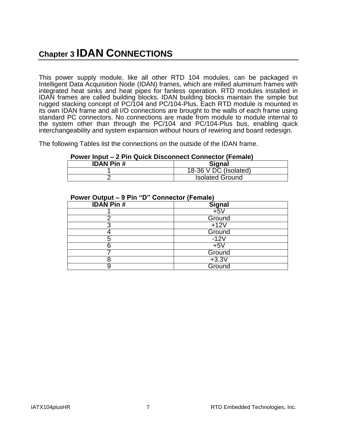## <span id="page-12-0"></span>**Chapter 3 IDAN CONNECTIONS**

This power supply module, like all other RTD 104 modules, can be packaged in Intelligent Data Acquisition Node (IDAN) frames, which are milled aluminum frames with integrated heat sinks and heat pipes for fanless operation. RTD modules installed in IDAN frames are called building blocks. IDAN building blocks maintain the simple but rugged stacking concept of PC/104 and PC/104-Plus. Each RTD module is mounted in its own IDAN frame and all I/O connections are brought to the walls of each frame using standard PC connectors. No connections are made from module to module internal to the system other than through the PC/104 and PC/104-Plus bus, enabling quick interchangeability and system expansion without hours of rewiring and board redesign.

The following Tables list the connections on the outside of the IDAN frame.

#### **Power Input – 2 Pin Quick Disconnect Connector (Female)**

| <b>IDAN Pin#</b> | <b>Signal</b>                     |
|------------------|-----------------------------------|
|                  | 18-36 $V\overline{DC}$ (Isolated) |
|                  | <b>Isolated Ground</b>            |

| <b>IDAN Pin#</b> | <b>Signal</b> |
|------------------|---------------|
|                  | $+5V$         |
|                  | Ground        |
|                  | $+12V$        |
|                  | Ground        |
| ხ                | $-12V$        |
|                  | $+5V$         |
|                  | Ground        |
|                  | $+3.3V$       |
|                  | Ground        |

#### **Power Output – 9 Pin "D" Connector (Female)**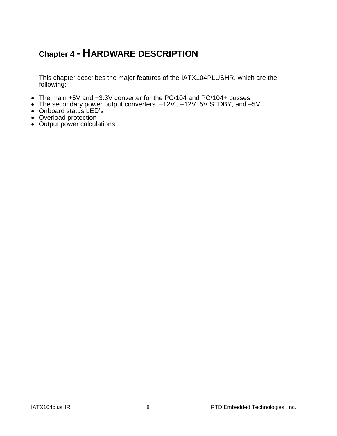## <span id="page-13-0"></span>**Chapter 4 - HARDWARE DESCRIPTION**

This chapter describes the major features of the IATX104PLUSHR, which are the following:

- The main +5V and +3.3V converter for the PC/104 and PC/104+ busses
- The secondary power output converters +12V , –12V, 5V STDBY, and –5V
- Onboard status LED's
- Overload protection
- Output power calculations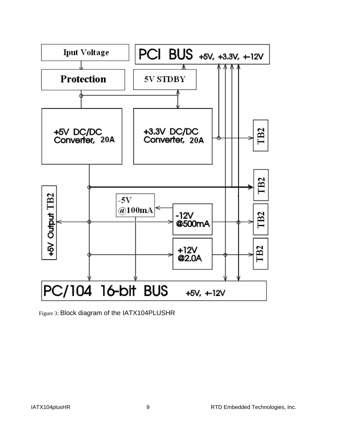

<span id="page-14-0"></span>Figure 3: Block diagram of the IATX104PLUSHR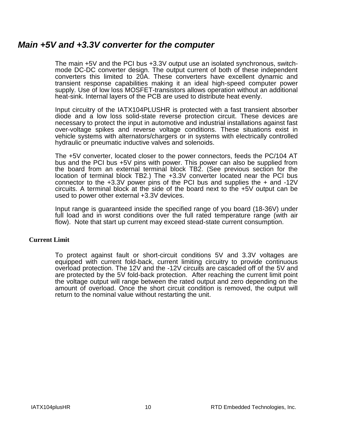### <span id="page-15-0"></span>*Main +5V and +3.3V converter for the computer*

The main +5V and the PCI bus +3.3V output use an isolated synchronous, switchmode DC-DC converter design. The output current of both of these independent converters this limited to 20A. These converters have excellent dynamic and transient response capabilities making it an ideal high-speed computer power supply. Use of low loss MOSFET-transistors allows operation without an additional heat-sink. Internal layers of the PCB are used to distribute heat evenly.

Input circuitry of the IATX104PLUSHR is protected with a fast transient absorber diode and a low loss solid-state reverse protection circuit. These devices are necessary to protect the input in automotive and industrial installations against fast over-voltage spikes and reverse voltage conditions. These situations exist in vehicle systems with alternators/chargers or in systems with electrically controlled hydraulic or pneumatic inductive valves and solenoids.

The +5V converter, located closer to the power connectors, feeds the PC/104 AT bus and the PCI bus +5V pins with power. This power can also be supplied from the board from an external terminal block TB2. (See previous section for the location of terminal block TB2.) The +3.3V converter located near the PCI bus connector to the  $+3.3V$  power pins of the PCI bus and supplies the  $+$  and  $-12V$ circuits. A terminal block at the side of the board next to the +5V output can be used to power other external +3.3V devices.

Input range is guaranteed inside the specified range of you board (18-36V) under full load and in worst conditions over the full rated temperature range (with air flow). Note that start up current may exceed stead-state current consumption.

### <span id="page-15-1"></span>**Current Limit**

To protect against fault or short-circuit conditions 5V and 3.3V voltages are equipped with current fold-back, current limiting circuitry to provide continuous overload protection. The 12V and the -12V circuits are cascaded off of the 5V and are protected by the 5V fold-back protection. After reaching the current limit point the voltage output will range between the rated output and zero depending on the amount of overload. Once the short circuit condition is removed, the output will return to the nominal value without restarting the unit.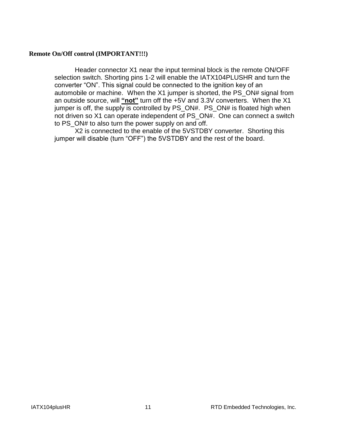### <span id="page-16-0"></span>**Remote On/Off control (IMPORTANT!!!)**

Header connector X1 near the input terminal block is the remote ON/OFF selection switch. Shorting pins 1-2 will enable the IATX104PLUSHR and turn the converter "ON". This signal could be connected to the ignition key of an automobile or machine. When the X1 jumper is shorted, the PS\_ON# signal from an outside source, will **"not"** turn off the +5V and 3.3V converters. When the X1 jumper is off, the supply is controlled by PS ON#. PS ON# is floated high when not driven so X1 can operate independent of PS\_ON#. One can connect a switch to PS ON# to also turn the power supply on and off.

X2 is connected to the enable of the 5VSTDBY converter. Shorting this jumper will disable (turn "OFF") the 5VSTDBY and the rest of the board.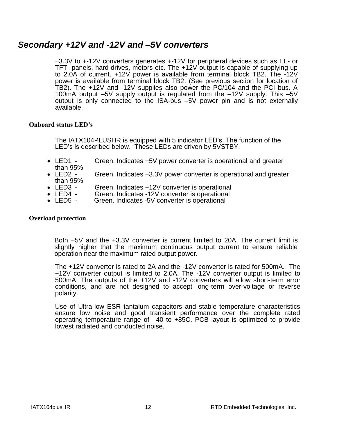### <span id="page-17-0"></span>*Secondary +12V and -12V and –5V converters*

+3.3V to +-12V converters generates +-12V for peripheral devices such as EL- or TFT- panels, hard drives, motors etc. The +12V output is capable of supplying up to 2.0A of current. +12V power is available from terminal block TB2. The -12V power is available from terminal block TB2. (See previous section for location of TB2). The +12V and -12V supplies also power the PC/104 and the PCI bus. A 100mA output –5V supply output is regulated from the –12V supply. This –5V output is only connected to the ISA-bus –5V power pin and is not externally available.

### <span id="page-17-1"></span>**Onboard status LED's**

The IATX104PLUSHR is equipped with 5 indicator LED's. The function of the LED's is described below. These LEDs are driven by 5VSTBY.

- LED1 Green. Indicates +5V power converter is operational and greater
- than  $95\%$ <br>• LED2 -Green. Indicates +3.3V power converter is operational and greater than 95%
- LED3 Green. Indicates +12V converter is operational
- LED4 Green. Indicates -12V converter is operational<br>• LED5 Green. Indicates -5V converter is operational
- Green. Indicates -5V converter is operational

#### <span id="page-17-2"></span>**Overload protection**

Both +5V and the +3.3V converter is current limited to 20A. The current limit is slightly higher that the maximum continuous output current to ensure reliable operation near the maximum rated output power.

The +12V converter is rated to 2A and the -12V converter is rated for 500mA. The +12V converter output is limited to 2.0A. The -12V converter output is limited to 500mA. The outputs of the +12V and -12V converters will allow short-term error conditions, and are not designed to accept long-term over-voltage or reverse polarity.

Use of Ultra-low ESR tantalum capacitors and stable temperature characteristics ensure low noise and good transient performance over the complete rated operating temperature range of –40 to +85C. PCB layout is optimized to provide lowest radiated and conducted noise.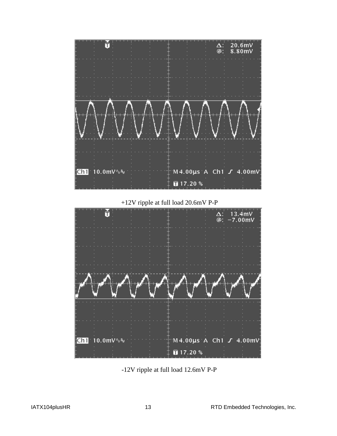

+12V ripple at full load 20.6mV P-P

<span id="page-18-0"></span>

<span id="page-18-1"></span>-12V ripple at full load 12.6mV P-P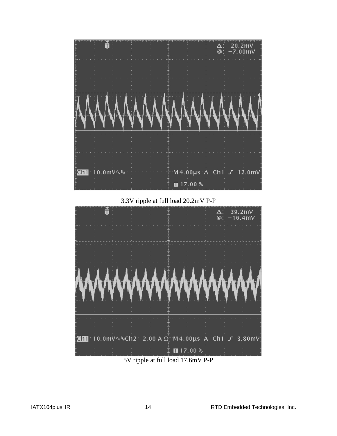

3.3V ripple at full load 20.2mV P-P

<span id="page-19-0"></span>

5V ripple at full load 17.6mV P-P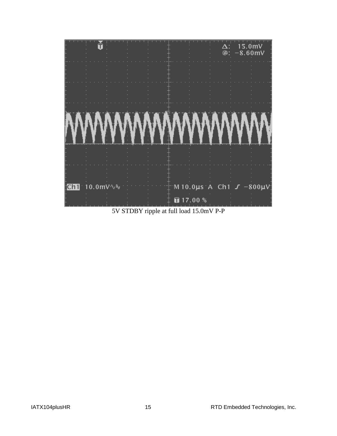

5V STDBY ripple at full load 15.0mV P-P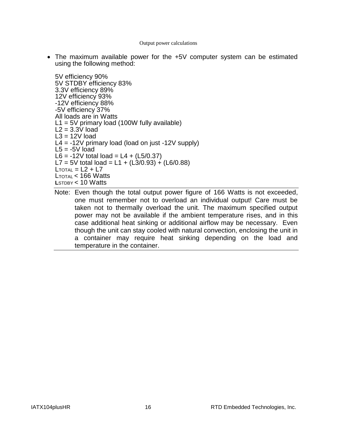#### Output power calculations

 The maximum available power for the +5V computer system can be estimated using the following method:

5V efficiency 90% 5V STDBY efficiency 83% 3.3V efficiency 89% 12V efficiency 93% -12V efficiency 88% -5V efficiency 37% All loads are in Watts  $L1 = 5V$  primary load (100W fully available)  $L2 = 3.3V$  load  $L3 = 12V$  load  $L4 = -12V$  primary load (load on just  $-12V$  supply)  $L5 = -5V$  load L6 =  $-12V$  total load = L4 + (L5/0.37) L7 = 5V total load = L1 + (L3/0.93) + (L6/0.88)  $L$ TOTAL =  $L2 + L7$  $L_{\text{TOTAl}} < 166$  Watts **L**STDBY < 10 Watts

Note: Even though the total output power figure of 166 Watts is not exceeded, one must remember not to overload an individual output! Care must be taken not to thermally overload the unit. The maximum specified output power may not be available if the ambient temperature rises, and in this case additional heat sinking or additional airflow may be necessary. Even though the unit can stay cooled with natural convection, enclosing the unit in a container may require heat sinking depending on the load and temperature in the container.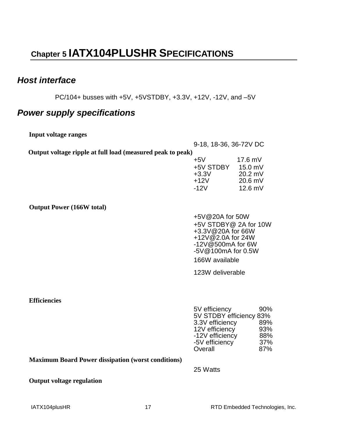## <span id="page-22-0"></span>**Chapter 5 IATX104PLUSHR SPECIFICATIONS**

## <span id="page-22-1"></span>*Host interface*

PC/104+ busses with +5V, +5VSTDBY, +3.3V, +12V, -12V, and –5V

## <span id="page-22-2"></span>*Power supply specifications*

<span id="page-22-4"></span><span id="page-22-3"></span>

| <b>Input voltage ranges</b>                                |                                        |                        |  |  |
|------------------------------------------------------------|----------------------------------------|------------------------|--|--|
|                                                            |                                        | 9-18, 18-36, 36-72V DC |  |  |
| Output voltage ripple at full load (measured peak to peak) |                                        |                        |  |  |
|                                                            | $+5V$                                  | $17.6$ mV              |  |  |
|                                                            | +5V STDBY                              | 15.0 mV                |  |  |
|                                                            | $+3.3V$<br>$+12V$                      | 20.2 mV<br>20.6 mV     |  |  |
|                                                            | $-12V$                                 | $12.6$ mV              |  |  |
|                                                            |                                        |                        |  |  |
| <b>Output Power (166W total)</b>                           |                                        |                        |  |  |
|                                                            |                                        | +5V@20A for 50W        |  |  |
|                                                            | +5V STDBY@ 2A for 10W                  |                        |  |  |
|                                                            | +3.3V@20A for 66W                      |                        |  |  |
|                                                            | +12V@2.0A for 24W<br>-12V@500mA for 6W |                        |  |  |
|                                                            | -5V@100mA for 0.5W                     |                        |  |  |
|                                                            | 166W available                         |                        |  |  |
|                                                            | 123W deliverable                       |                        |  |  |
|                                                            |                                        |                        |  |  |
|                                                            |                                        |                        |  |  |
| <b>Efficiencies</b>                                        |                                        |                        |  |  |
|                                                            | 5V efficiency                          | 90%                    |  |  |
|                                                            | 5V STDBY efficiency 83%                |                        |  |  |
|                                                            | 3.3V efficiency<br>12V efficiency      | 89%<br>93%             |  |  |
|                                                            | -12V efficiency                        | 88%                    |  |  |
|                                                            | -5V efficiency                         | 37%                    |  |  |
|                                                            | Overall                                | 87%                    |  |  |

### <span id="page-22-6"></span><span id="page-22-5"></span>**Maximum Board Power dissipation (worst conditions)**

25 Watts

Overall

### <span id="page-22-7"></span>**Output voltage regulation**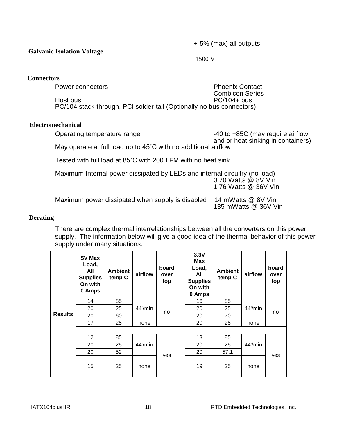**Galvanic Isolation Voltage** 

+-5% (max) all outputs

1500 V

### <span id="page-23-0"></span>**Connectors**

Power connectors **Phoenix Contact** Combicon Series Host bus PC/104+ bus PC/104 stack-through, PCI solder-tail (Optionally no bus connectors)

### <span id="page-23-1"></span>**Electromechanical**

| Operating temperature range                                              | -40 to +85C (may require airflow   |
|--------------------------------------------------------------------------|------------------------------------|
|                                                                          | and or heat sinking in containers) |
| May operate at full load up to $45^{\circ}$ C with no additional airflow |                                    |

Tested with full load at 85˚C with 200 LFM with no heat sink

| Maximum Internal power dissipated by LEDs and internal circuitry (no load) | 0.70 Watts @ 8V Vin<br>1.76 Watts @ 36V Vin |
|----------------------------------------------------------------------------|---------------------------------------------|
| Maximum power dissipated when supply is disabled                           | 14 mWatts @ 8V Vin<br>135 mWatts @ 36V Vin  |

### <span id="page-23-2"></span>**Derating**

There are complex thermal interrelationships between all the converters on this power supply. The information below will give a good idea of the thermal behavior of this power supply under many situations.

| <b>Results</b> | 5V Max<br>Load,<br>All<br><b>Supplies</b><br>On with<br>0 Amps | <b>Ambient</b><br>temp C | airflow    | board<br>over<br>top | 3.3V<br><b>Max</b><br>Load,<br>All<br><b>Supplies</b><br>On with<br>0 Amps | <b>Ambient</b><br>temp C | airflow    | board<br>over<br>top |     |
|----------------|----------------------------------------------------------------|--------------------------|------------|----------------------|----------------------------------------------------------------------------|--------------------------|------------|----------------------|-----|
|                | 14                                                             | 85                       |            | no                   |                                                                            | 16                       | 85         |                      |     |
|                | 20                                                             | 25                       | $44$ '/min |                      | 20                                                                         | 25                       | $44$ '/min | no                   |     |
|                | 20                                                             | 60                       |            |                      |                                                                            | 20                       | 70         |                      |     |
|                | 17                                                             | 25                       | none       |                      |                                                                            | 20                       | 25         | none                 |     |
|                |                                                                |                          |            |                      |                                                                            |                          |            |                      |     |
|                | 12                                                             | 85                       | $44$ '/min | yes                  |                                                                            | 13                       | 85         |                      |     |
|                | 20                                                             | 25                       |            |                      |                                                                            | 20                       | 25         | 44'/min              | yes |
|                | 20                                                             | 52                       |            |                      |                                                                            | 20                       | 57.1       |                      |     |
|                | 15                                                             | 25                       | none       |                      |                                                                            | 19                       | 25         | none                 |     |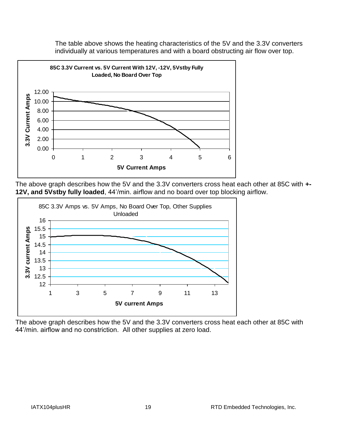The table above shows the heating characteristics of the 5V and the 3.3V converters individually at various temperatures and with a board obstructing air flow over top.



The above graph describes how the 5V and the 3.3V converters cross heat each other at 85C with **+- 12V, and 5Vstby fully loaded**, 44'/min. airflow and no board over top blocking airflow.



The above graph describes how the 5V and the 3.3V converters cross heat each other at 85C with 44'/min. airflow and no constriction. All other supplies at zero load.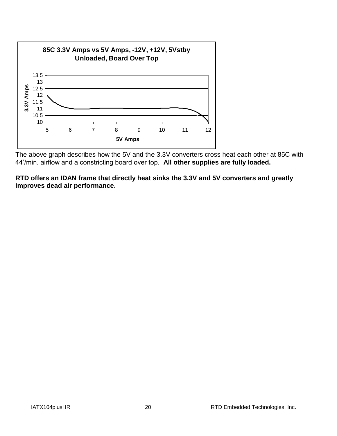

The above graph describes how the 5V and the 3.3V converters cross heat each other at 85C with 44'/min. airflow and a constricting board over top. **All other supplies are fully loaded.**

**RTD offers an IDAN frame that directly heat sinks the 3.3V and 5V converters and greatly improves dead air performance.**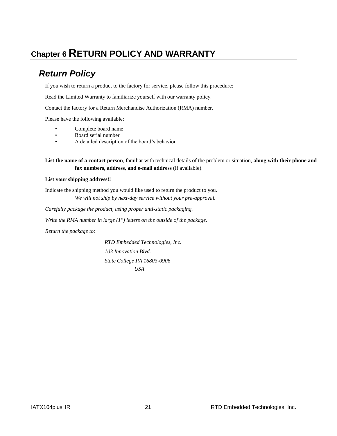## <span id="page-26-1"></span><span id="page-26-0"></span>**Chapter 6 RETURN POLICY AND WARRANTY**

## *Return Policy*

If you wish to return a product to the factory for service, please follow this procedure:

Read the Limited Warranty to familiarize yourself with our warranty policy.

Contact the factory for a Return Merchandise Authorization (RMA) number.

Please have the following available:

- Complete board name
- Board serial number
- A detailed description of the board's behavior

**List the name of a contact person**, familiar with technical details of the problem or situation, **along with their phone and fax numbers, address, and e-mail address** (if available).

#### **List your shipping address!!**

Indicate the shipping method you would like used to return the product to you. *We will not ship by next-day service without your pre-approval.*

*Carefully package the product, using proper anti-static packaging.*

*Write the RMA number in large (1") letters on the outside of the package.*

*Return the package to:*

*RTD Embedded Technologies, Inc. 103 Innovation Blvd. State College PA 16803-0906 USA*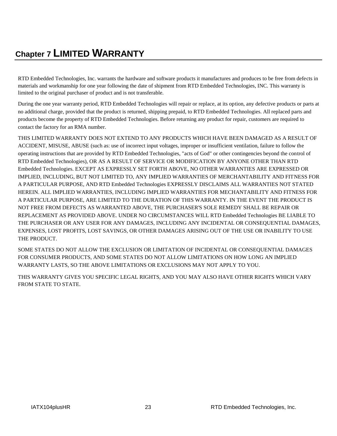## <span id="page-28-0"></span>**Chapter 7 LIMITED WARRANTY**

RTD Embedded Technologies, Inc. warrants the hardware and software products it manufactures and produces to be free from defects in materials and workmanship for one year following the date of shipment from RTD Embedded Technologies, INC. This warranty is limited to the original purchaser of product and is not transferable.

During the one year warranty period, RTD Embedded Technologies will repair or replace, at its option, any defective products or parts at no additional charge, provided that the product is returned, shipping prepaid, to RTD Embedded Technologies. All replaced parts and products become the property of RTD Embedded Technologies. Before returning any product for repair, customers are required to contact the factory for an RMA number.

THIS LIMITED WARRANTY DOES NOT EXTEND TO ANY PRODUCTS WHICH HAVE BEEN DAMAGED AS A RESULT OF ACCIDENT, MISUSE, ABUSE (such as: use of incorrect input voltages, improper or insufficient ventilation, failure to follow the operating instructions that are provided by RTD Embedded Technologies, "acts of God" or other contingencies beyond the control of RTD Embedded Technologies), OR AS A RESULT OF SERVICE OR MODIFICATION BY ANYONE OTHER THAN RTD Embedded Technologies. EXCEPT AS EXPRESSLY SET FORTH ABOVE, NO OTHER WARRANTIES ARE EXPRESSED OR IMPLIED, INCLUDING, BUT NOT LIMITED TO, ANY IMPLIED WARRANTIES OF MERCHANTABILITY AND FITNESS FOR A PARTICULAR PURPOSE, AND RTD Embedded Technologies EXPRESSLY DISCLAIMS ALL WARRANTIES NOT STATED HEREIN. ALL IMPLIED WARRANTIES, INCLUDING IMPLIED WARRANTIES FOR MECHANTABILITY AND FITNESS FOR A PARTICULAR PURPOSE, ARE LIMITED TO THE DURATION OF THIS WARRANTY. IN THE EVENT THE PRODUCT IS NOT FREE FROM DEFECTS AS WARRANTED ABOVE, THE PURCHASER'S SOLE REMEDY SHALL BE REPAIR OR REPLACEMENT AS PROVIDED ABOVE. UNDER NO CIRCUMSTANCES WILL RTD Embedded Technologies BE LIABLE TO THE PURCHASER OR ANY USER FOR ANY DAMAGES, INCLUDING ANY INCIDENTAL OR CONSEQUENTIAL DAMAGES, EXPENSES, LOST PROFITS, LOST SAVINGS, OR OTHER DAMAGES ARISING OUT OF THE USE OR INABILITY TO USE THE PRODUCT.

SOME STATES DO NOT ALLOW THE EXCLUSION OR LIMITATION OF INCIDENTAL OR CONSEQUENTIAL DAMAGES FOR CONSUMER PRODUCTS, AND SOME STATES DO NOT ALLOW LIMITATIONS ON HOW LONG AN IMPLIED WARRANTY LASTS, SO THE ABOVE LIMITATIONS OR EXCLUSIONS MAY NOT APPLY TO YOU.

THIS WARRANTY GIVES YOU SPECIFIC LEGAL RIGHTS, AND YOU MAY ALSO HAVE OTHER RIGHTS WHICH VARY FROM STATE TO STATE.